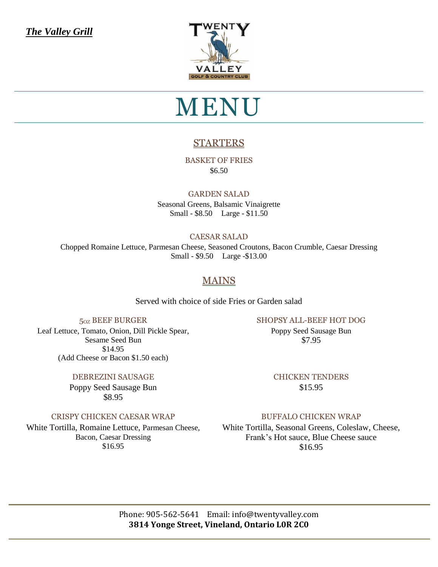*The Valley Grill*



## MENU

## **STARTERS**

BASKET OF FRIES \$6.50

#### GARDEN SALAD

Seasonal Greens, Balsamic Vinaigrette Small - \$8.50 Large - \$11.50

#### CAESAR SALAD

Chopped Romaine Lettuce, Parmesan Cheese, Seasoned Croutons, Bacon Crumble, Caesar Dressing Small - \$9.50 Large -\$13.00

## MAINS

Served with choice of side Fries or Garden salad

#### 5OZ BEEF BURGER

Leaf Lettuce, Tomato, Onion, Dill Pickle Spear, Sesame Seed Bun \$14.95 (Add Cheese or Bacon \$1.50 each)

#### DEBREZINI SAUSAGE

Poppy Seed Sausage Bun \$8.95

#### CRISPY CHICKEN CAESAR WRAP

White Tortilla, Romaine Lettuce, Parmesan Cheese, Bacon, Caesar Dressing \$16.95

#### SHOPSY ALL-BEEF HOT DOG

Poppy Seed Sausage Bun \$7.95

CHICKEN TENDERS \$15.95

#### BUFFALO CHICKEN WRAP

White Tortilla, Seasonal Greens, Coleslaw, Cheese, Frank's Hot sauce, Blue Cheese sauce \$16.95

Phone: 905-562-5641 Email: [info@twentyvalley.com](mailto:info@twentyvalley.com) **3814 Yonge Street, Vineland, Ontario L0R 2C0**